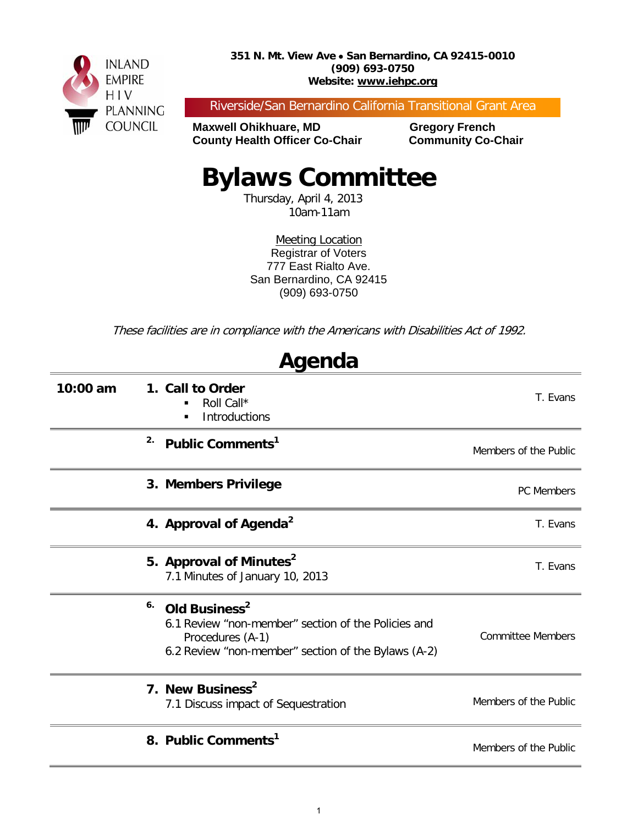

Riverside/San Bernardino California Transitional Grant Area

**Maxwell Ohikhuare, MD Gregory French County Health Officer Co-Chair Community Co-Chair**

# **Bylaws Committee**

Thursday, April 4, 2013 10am-11am

Meeting Location Registrar of Voters 777 East Rialto Ave. San Bernardino, CA 92415 (909) 693-0750

These facilities are in compliance with the Americans with Disabilities Act of 1992.

| Agenda     |                                                                                                                                                                   |                          |  |  |
|------------|-------------------------------------------------------------------------------------------------------------------------------------------------------------------|--------------------------|--|--|
| $10:00$ am | 1. Call to Order<br>Roll Call*<br><b>Introductions</b><br>$\blacksquare$                                                                                          | T. Evans                 |  |  |
|            | 2.<br>Public Comments <sup>1</sup>                                                                                                                                | Members of the Public    |  |  |
|            | 3. Members Privilege                                                                                                                                              | <b>PC Members</b>        |  |  |
|            | 4. Approval of Agenda <sup>2</sup>                                                                                                                                | T. Evans                 |  |  |
|            | 5. Approval of Minutes <sup>2</sup><br>7.1 Minutes of January 10, 2013                                                                                            | T. Evans                 |  |  |
|            | 6.<br>Old Business <sup>2</sup><br>6.1 Review "non-member" section of the Policies and<br>Procedures (A-1)<br>6.2 Review "non-member" section of the Bylaws (A-2) | <b>Committee Members</b> |  |  |
|            | 7. New Business <sup>2</sup><br>7.1 Discuss impact of Sequestration                                                                                               | Members of the Public    |  |  |
|            | 8. Public Comments <sup>1</sup>                                                                                                                                   | Members of the Public    |  |  |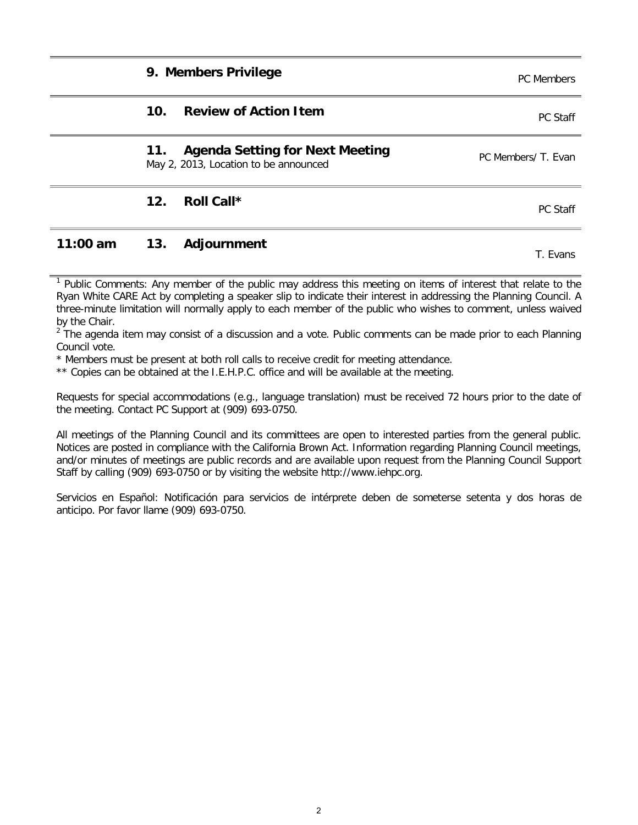| 9. Members Privilege                                                                   | <b>PC</b> Members   |
|----------------------------------------------------------------------------------------|---------------------|
| <b>Review of Action Item</b><br>10 <sub>1</sub>                                        | PC Staff            |
| <b>Agenda Setting for Next Meeting</b><br>11.<br>May 2, 2013, Location to be announced | PC Members/ T. Evan |
| Roll Call*<br>12.                                                                      | <b>PC Staff</b>     |
|                                                                                        |                     |

### **11:00 am 13. Adjournment** T. Evans

<sup>1</sup> Public Comments: Any member of the public may address this meeting on items of interest that relate to the Ryan White CARE Act by completing a speaker slip to indicate their interest in addressing the Planning Council. A three-minute limitation will normally apply to each member of the public who wishes to comment, unless waived by the Chair.

 $<sup>2</sup>$  The agenda item may consist of a discussion and a vote. Public comments can be made prior to each Planning</sup> Council vote.

\* Members must be present at both roll calls to receive credit for meeting attendance.

\*\* Copies can be obtained at the I.E.H.P.C. office and will be available at the meeting.

Requests for special accommodations (e.g., language translation) must be received 72 hours prior to the date of the meeting. Contact PC Support at (909) 693-0750.

All meetings of the Planning Council and its committees are open to interested parties from the general public. Notices are posted in compliance with the California Brown Act. Information regarding Planning Council meetings, and/or minutes of meetings are public records and are available upon request from the Planning Council Support Staff by calling (909) 693-0750 or by visiting the website http://www.iehpc.org.

Servicios en Español: Notificación para servicios de intérprete deben de someterse setenta y dos horas de anticipo. Por favor llame (909) 693-0750.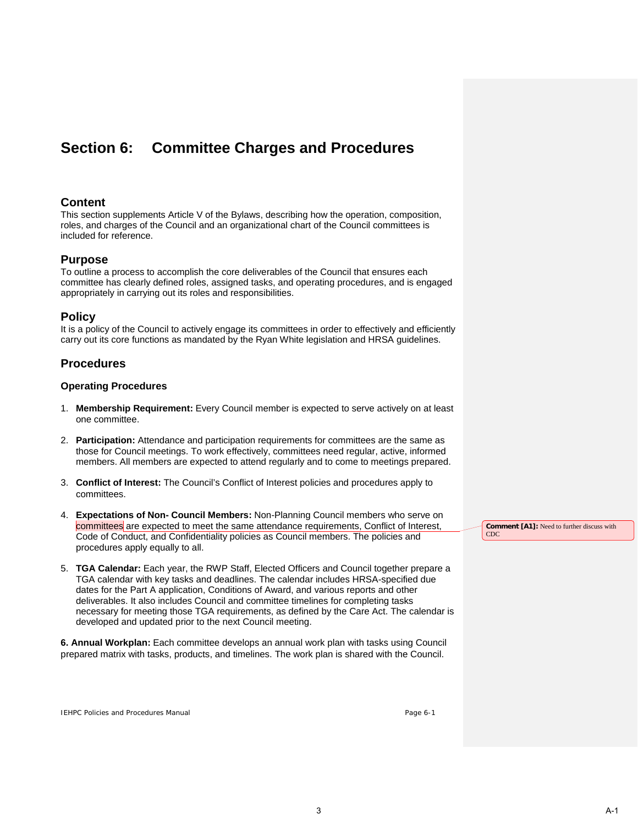### **Section 6: Committee Charges and Procedures**

#### **Content**

This section supplements Article V of the Bylaws, describing how the operation, composition, roles, and charges of the Council and an organizational chart of the Council committees is included for reference.

#### **Purpose**

To outline a process to accomplish the core deliverables of the Council that ensures each committee has clearly defined roles, assigned tasks, and operating procedures, and is engaged appropriately in carrying out its roles and responsibilities.

#### **Policy**

It is a policy of the Council to actively engage its committees in order to effectively and efficiently carry out its core functions as mandated by the Ryan White legislation and HRSA guidelines.

#### **Procedures**

#### **Operating Procedures**

- 1. **Membership Requirement:** Every Council member is expected to serve actively on at least one committee.
- 2. **Participation:** Attendance and participation requirements for committees are the same as those for Council meetings. To work effectively, committees need regular, active, informed members. All members are expected to attend regularly and to come to meetings prepared.
- 3. **Conflict of Interest:** The Council's Conflict of Interest policies and procedures apply to committees.
- 4. **Expectations of Non- Council Members:** Non-Planning Council members who serve on committees are expected to meet the same attendance requirements, Conflict of Interest, Code of Conduct, and Confidentiality policies as Council members. The policies and procedures apply equally to all.
- 5. **TGA Calendar:** Each year, the RWP Staff, Elected Officers and Council together prepare a TGA calendar with key tasks and deadlines. The calendar includes HRSA-specified due dates for the Part A application, Conditions of Award, and various reports and other deliverables. It also includes Council and committee timelines for completing tasks necessary for meeting those TGA requirements, as defined by the Care Act. The calendar is developed and updated prior to the next Council meeting.

**6. Annual Workplan:** Each committee develops an annual work plan with tasks using Council prepared matrix with tasks, products, and timelines. The work plan is shared with the Council.

**Comment [A1]:** Need to further discuss with CDC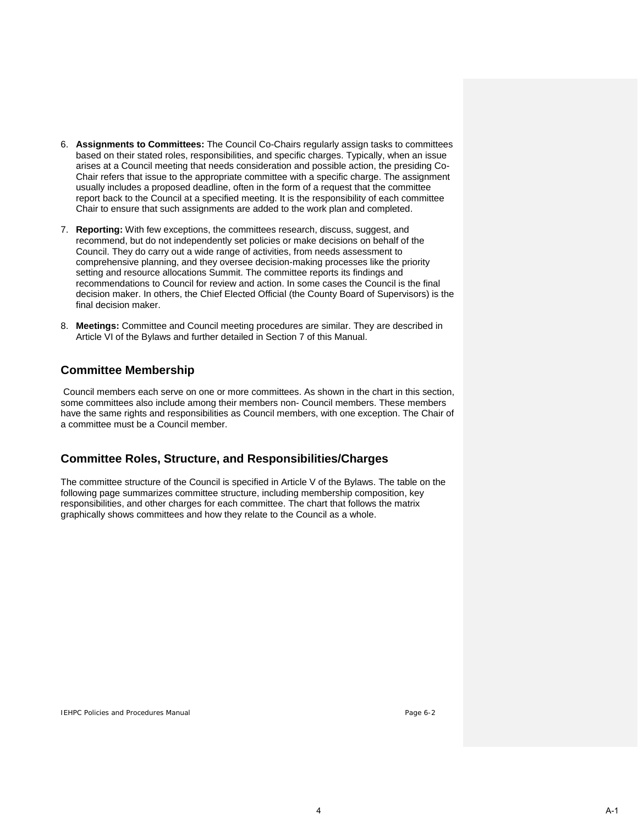- 6. **Assignments to Committees:** The Council Co-Chairs regularly assign tasks to committees based on their stated roles, responsibilities, and specific charges. Typically, when an issue arises at a Council meeting that needs consideration and possible action, the presiding Co-Chair refers that issue to the appropriate committee with a specific charge. The assignment usually includes a proposed deadline, often in the form of a request that the committee report back to the Council at a specified meeting. It is the responsibility of each committee Chair to ensure that such assignments are added to the work plan and completed.
- 7. **Reporting:** With few exceptions, the committees research, discuss, suggest, and recommend, but do not independently set policies or make decisions on behalf of the Council. They do carry out a wide range of activities, from needs assessment to comprehensive planning, and they oversee decision-making processes like the priority setting and resource allocations Summit. The committee reports its findings and recommendations to Council for review and action. In some cases the Council is the final decision maker. In others, the Chief Elected Official (the County Board of Supervisors) is the final decision maker.
- 8. **Meetings:** Committee and Council meeting procedures are similar. They are described in Article VI of the Bylaws and further detailed in Section 7 of this Manual.

#### **Committee Membership**

Council members each serve on one or more committees. As shown in the chart in this section, some committees also include among their members non- Council members. These members have the same rights and responsibilities as Council members, with one exception. The Chair of a committee must be a Council member.

#### **Committee Roles, Structure, and Responsibilities/Charges**

The committee structure of the Council is specified in Article V of the Bylaws. The table on the following page summarizes committee structure, including membership composition, key responsibilities, and other charges for each committee. The chart that follows the matrix graphically shows committees and how they relate to the Council as a whole.

IEHPC Policies and Procedures Manual Page 6-2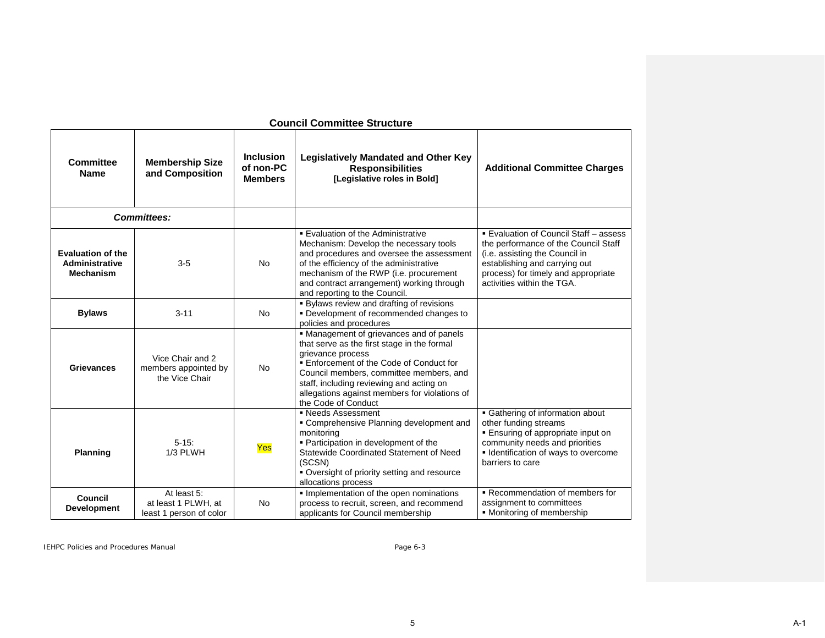| <b>Council Committee Structure</b>                             |                                                               |                                                 |                                                                                                                                                                                                                                                                                                                         |                                                                                                                                                                                                                        |
|----------------------------------------------------------------|---------------------------------------------------------------|-------------------------------------------------|-------------------------------------------------------------------------------------------------------------------------------------------------------------------------------------------------------------------------------------------------------------------------------------------------------------------------|------------------------------------------------------------------------------------------------------------------------------------------------------------------------------------------------------------------------|
| <b>Committee</b><br><b>Name</b>                                | <b>Membership Size</b><br>and Composition                     | <b>Inclusion</b><br>of non-PC<br><b>Members</b> | <b>Legislatively Mandated and Other Key</b><br><b>Responsibilities</b><br>[Legislative roles in Bold]                                                                                                                                                                                                                   | <b>Additional Committee Charges</b>                                                                                                                                                                                    |
|                                                                | <b>Committees:</b>                                            |                                                 |                                                                                                                                                                                                                                                                                                                         |                                                                                                                                                                                                                        |
| <b>Evaluation of the</b><br>Administrative<br><b>Mechanism</b> | $3-5$                                                         | <b>No</b>                                       | ■ Evaluation of the Administrative<br>Mechanism: Develop the necessary tools<br>and procedures and oversee the assessment<br>of the efficiency of the administrative<br>mechanism of the RWP (i.e. procurement<br>and contract arrangement) working through<br>and reporting to the Council.                            | ■ Evaluation of Council Staff - assess<br>the performance of the Council Staff<br>(i.e. assisting the Council in<br>establishing and carrying out<br>process) for timely and appropriate<br>activities within the TGA. |
| <b>Bylaws</b>                                                  | $3 - 11$                                                      | <b>No</b>                                       | . Bylaws review and drafting of revisions<br>• Development of recommended changes to<br>policies and procedures                                                                                                                                                                                                         |                                                                                                                                                                                                                        |
| <b>Grievances</b>                                              | Vice Chair and 2<br>members appointed by<br>the Vice Chair    | <b>No</b>                                       | • Management of grievances and of panels<br>that serve as the first stage in the formal<br>grievance process<br>■ Enforcement of the Code of Conduct for<br>Council members, committee members, and<br>staff, including reviewing and acting on<br>allegations against members for violations of<br>the Code of Conduct |                                                                                                                                                                                                                        |
| <b>Planning</b>                                                | $5 - 15$ :<br>1/3 PLWH                                        | Yes                                             | • Needs Assessment<br>• Comprehensive Planning development and<br>monitoring<br>· Participation in development of the<br>Statewide Coordinated Statement of Need<br>(SCSN)<br>• Oversight of priority setting and resource<br>allocations process                                                                       | • Gathering of information about<br>other funding streams<br><b>Ensuring of appropriate input on</b><br>community needs and priorities<br>• Identification of ways to overcome<br>barriers to care                     |
| Council<br><b>Development</b>                                  | At least 5:<br>at least 1 PLWH, at<br>least 1 person of color | <b>No</b>                                       | Implementation of the open nominations<br>process to recruit, screen, and recommend<br>applicants for Council membership                                                                                                                                                                                                | Recommendation of members for<br>assignment to committees<br>• Monitoring of membership                                                                                                                                |

#### **Council Committee Structure**

IEHPC Policies and Procedures Manual **Page 6-3** Page 6-3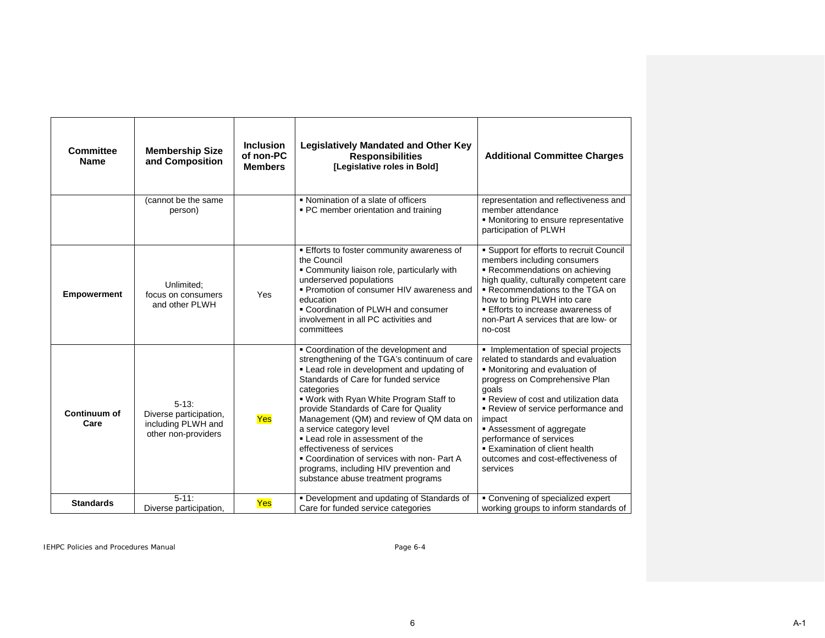| Committee<br><b>Name</b> | <b>Membership Size</b><br>and Composition                                         | <b>Inclusion</b><br>of non-PC<br><b>Members</b> | <b>Legislatively Mandated and Other Key</b><br><b>Responsibilities</b><br>[Legislative roles in Bold]                                                                                                                                                                                                                                                                                                                                                                                                                                                | <b>Additional Committee Charges</b>                                                                                                                                                                                                                                                                                                                                                         |
|--------------------------|-----------------------------------------------------------------------------------|-------------------------------------------------|------------------------------------------------------------------------------------------------------------------------------------------------------------------------------------------------------------------------------------------------------------------------------------------------------------------------------------------------------------------------------------------------------------------------------------------------------------------------------------------------------------------------------------------------------|---------------------------------------------------------------------------------------------------------------------------------------------------------------------------------------------------------------------------------------------------------------------------------------------------------------------------------------------------------------------------------------------|
|                          | (cannot be the same<br>person)                                                    |                                                 | • Nomination of a slate of officers<br>• PC member orientation and training                                                                                                                                                                                                                                                                                                                                                                                                                                                                          | representation and reflectiveness and<br>member attendance<br>• Monitoring to ensure representative<br>participation of PLWH                                                                                                                                                                                                                                                                |
| <b>Empowerment</b>       | Unlimited:<br>focus on consumers<br>and other PLWH                                | Yes                                             | Efforts to foster community awareness of<br>the Council<br>• Community liaison role, particularly with<br>underserved populations<br>• Promotion of consumer HIV awareness and<br>education<br>• Coordination of PLWH and consumer<br>involvement in all PC activities and<br>committees                                                                                                                                                                                                                                                             | • Support for efforts to recruit Council<br>members including consumers<br>Recommendations on achieving<br>high quality, culturally competent care<br>Recommendations to the TGA on<br>how to bring PLWH into care<br>Efforts to increase awareness of<br>non-Part A services that are low- or<br>no-cost                                                                                   |
| Continuum of<br>Care     | $5 - 13$ :<br>Diverse participation,<br>including PLWH and<br>other non-providers | Yes                                             | • Coordination of the development and<br>strengthening of the TGA's continuum of care<br>. Lead role in development and updating of<br>Standards of Care for funded service<br>categories<br>. Work with Ryan White Program Staff to<br>provide Standards of Care for Quality<br>Management (QM) and review of QM data on<br>a service category level<br>• Lead role in assessment of the<br>effectiveness of services<br>• Coordination of services with non-Part A<br>programs, including HIV prevention and<br>substance abuse treatment programs | Implementation of special projects<br>related to standards and evaluation<br>• Monitoring and evaluation of<br>progress on Comprehensive Plan<br>goals<br>Review of cost and utilization data<br>Review of service performance and<br>impact<br>Assessment of aggregate<br>performance of services<br><b>Examination of client health</b><br>outcomes and cost-effectiveness of<br>services |
| <b>Standards</b>         | $5 - 11$ :<br>Diverse participation,                                              | Yes                                             | • Development and updating of Standards of<br>Care for funded service categories                                                                                                                                                                                                                                                                                                                                                                                                                                                                     | • Convening of specialized expert<br>working groups to inform standards of                                                                                                                                                                                                                                                                                                                  |

IEHPC Policies and Procedures Manual **Page 6-4** Page 6-4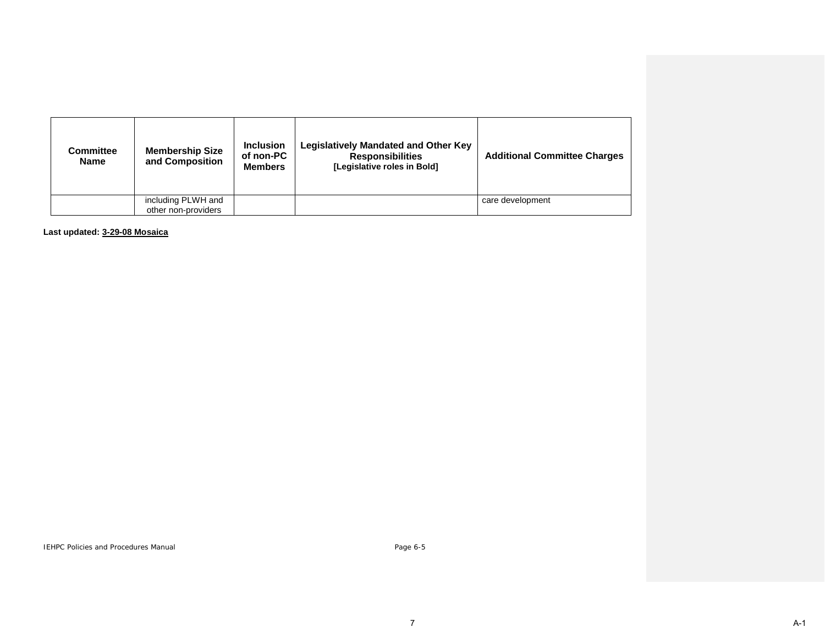| <b>Committee</b><br><b>Name</b> | <b>Membership Size</b><br>and Composition | <b>Inclusion</b><br>of non-PC<br><b>Members</b> | <b>Legislatively Mandated and Other Key</b><br><b>Responsibilities</b><br>[Legislative roles in Bold] | <b>Additional Committee Charges</b> |
|---------------------------------|-------------------------------------------|-------------------------------------------------|-------------------------------------------------------------------------------------------------------|-------------------------------------|
|                                 | including PLWH and                        |                                                 |                                                                                                       | care development                    |
|                                 | other non-providers                       |                                                 |                                                                                                       |                                     |

**Last updated: 3-29-08 Mosaica**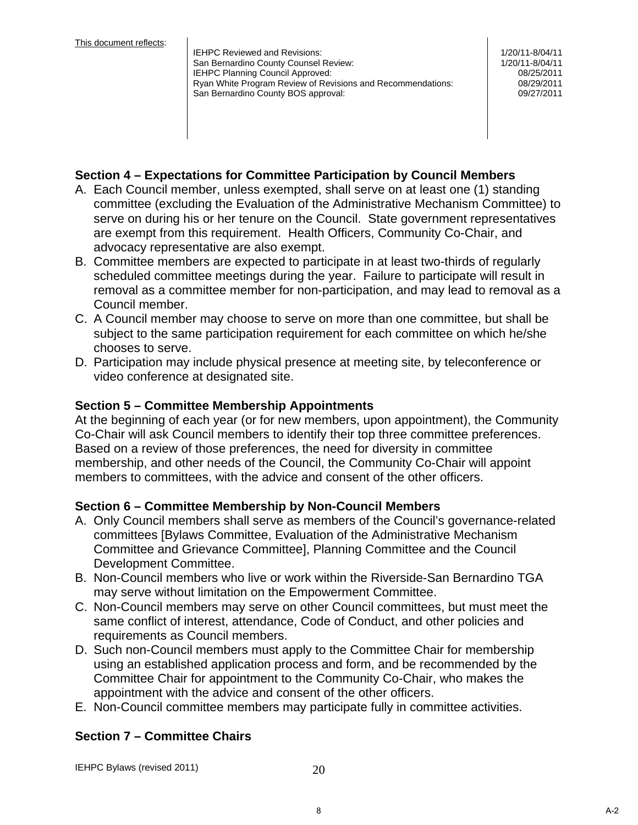IEHPC Reviewed and Revisions: San Bernardino County Counsel Review: IEHPC Planning Council Approved: Ryan White Program Review of Revisions and Recommendations: 08/29/2011 San Bernardino County BOS approval: 
and the county of the county of the county BOS approval:  $\sim$  09/27/2011

1/20/11-8/04/11 1/20/11-8/04/11 08/25/2011

#### **Section 4 – Expectations for Committee Participation by Council Members**

- A. Each Council member, unless exempted, shall serve on at least one (1) standing committee (excluding the Evaluation of the Administrative Mechanism Committee) to serve on during his or her tenure on the Council. State government representatives are exempt from this requirement. Health Officers, Community Co-Chair, and advocacy representative are also exempt.
- B. Committee members are expected to participate in at least two-thirds of regularly scheduled committee meetings during the year. Failure to participate will result in removal as a committee member for non-participation, and may lead to removal as a Council member.
- C. A Council member may choose to serve on more than one committee, but shall be subject to the same participation requirement for each committee on which he/she chooses to serve.
- D. Participation may include physical presence at meeting site, by teleconference or video conference at designated site.

#### **Section 5 – Committee Membership Appointments**

At the beginning of each year (or for new members, upon appointment), the Community Co-Chair will ask Council members to identify their top three committee preferences. Based on a review of those preferences, the need for diversity in committee membership, and other needs of the Council, the Community Co-Chair will appoint members to committees, with the advice and consent of the other officers.

#### **Section 6 – Committee Membership by Non-Council Members**

- A. Only Council members shall serve as members of the Council's governance-related committees [Bylaws Committee, Evaluation of the Administrative Mechanism Committee and Grievance Committee], Planning Committee and the Council Development Committee.
- B. Non-Council members who live or work within the Riverside-San Bernardino TGA may serve without limitation on the Empowerment Committee.
- C. Non-Council members may serve on other Council committees, but must meet the same conflict of interest, attendance, Code of Conduct, and other policies and requirements as Council members.
- D. Such non-Council members must apply to the Committee Chair for membership using an established application process and form, and be recommended by the Committee Chair for appointment to the Community Co-Chair, who makes the appointment with the advice and consent of the other officers.
- E. Non-Council committee members may participate fully in committee activities.

#### **Section 7 – Committee Chairs**

IEHPC Bylaws (revised 2011) 20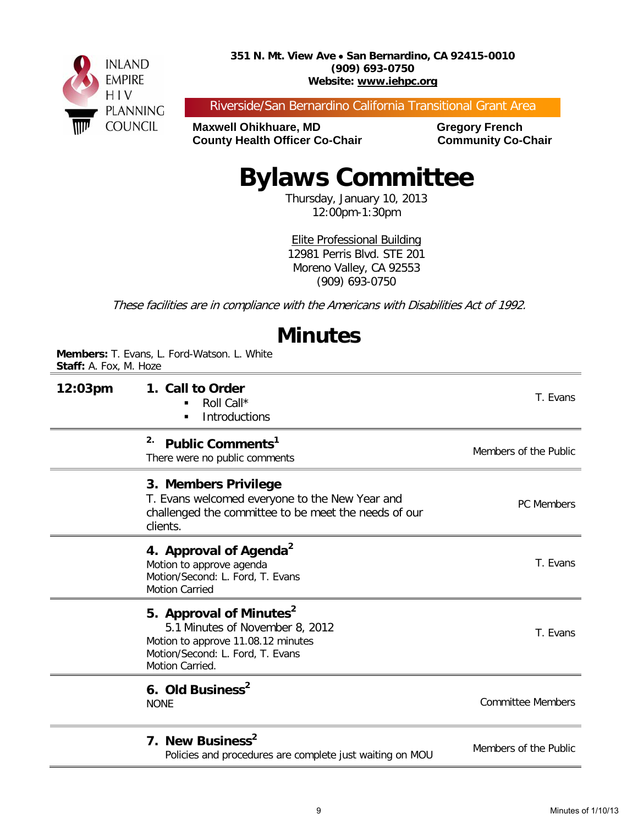

Riverside/San Bernardino California Transitional Grant Area

**Maxwell Ohikhuare, MD Gregory French County Health Officer Co-Chair Community Co-Chair** 

# **Bylaws Committee**

Thursday, January 10, 2013 12:00pm-1:30pm

Elite Professional Building 12981 Perris Blvd. STE 201 Moreno Valley, CA 92553 (909) 693-0750

These facilities are in compliance with the Americans with Disabilities Act of 1992.

## **Minutes**

**Members:** T. Evans, L. Ford-Watson. L. White **Staff:** A. Fox, M. Hoze

| 12:03pm | 1. Call to Order<br>Roll Call*<br>Introductions<br>٠                                                                                                                | T. Evans                 |
|---------|---------------------------------------------------------------------------------------------------------------------------------------------------------------------|--------------------------|
|         | 2.<br>Public Comments <sup>1</sup><br>There were no public comments                                                                                                 | Members of the Public    |
|         | 3. Members Privilege<br>T. Evans welcomed everyone to the New Year and<br>challenged the committee to be meet the needs of our<br>clients.                          | <b>PC</b> Members        |
|         | 4. Approval of Agenda <sup>2</sup><br>Motion to approve agenda<br>Motion/Second: L. Ford, T. Evans<br><b>Motion Carried</b>                                         | T. Evans                 |
|         | 5. Approval of Minutes <sup>2</sup><br>5.1 Minutes of November 8, 2012<br>Motion to approve 11.08.12 minutes<br>Motion/Second: L. Ford, T. Evans<br>Motion Carried. | T. Evans                 |
|         | 6. Old Business <sup>2</sup><br><b>NONE</b>                                                                                                                         | <b>Committee Members</b> |
|         | 7. New Business <sup>2</sup><br>Policies and procedures are complete just waiting on MOU                                                                            | Members of the Public    |